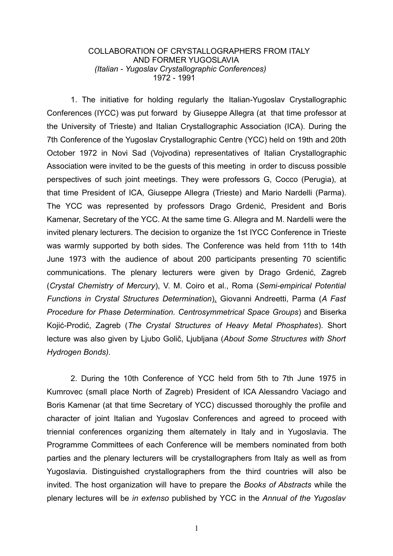## COLLABORATION OF CRYSTALLOGRAPHERS FROM ITALY AND FORMER YUGOSLAVIA *(Italian - Yugoslav Crystallographic Conferences)* 1972 - 1991

1. The initiative for holding regularly the Italian-Yugoslav Crystallographic Conferences (IYCC) was put forward by Giuseppe Allegra (at that time professor at the University of Trieste) and Italian Crystallographic Association (ICA). During the 7th Conference of the Yugoslav Crystallographic Centre (YCC) held on 19th and 20th October 1972 in Novi Sad (Vojvodina) representatives of Italian Crystallographic Association were invited to be the guests of this meeting in order to discuss possible perspectives of such joint meetings. They were professors G, Cocco (Perugia), at that time President of ICA, Giuseppe Allegra (Trieste) and Mario Nardelli (Parma). The YCC was represented by professors Drago Grdenić, President and Boris Kamenar, Secretary of the YCC. At the same time G. Allegra and M. Nardelli were the invited plenary lecturers. The decision to organize the 1st IYCC Conference in Trieste was warmly supported by both sides. The Conference was held from 11th to 14th June 1973 with the audience of about 200 participants presenting 70 scientific communications. The plenary lecturers were given by Drago Grdenić, Zagreb (*Crystal Chemistry of Mercury*), V. M. Coiro et al., Roma (*Semi-empirical Potential Functions in Crystal Structures Determination*), Giovanni Andreetti, Parma (*A Fast Procedure for Phase Determination. Centrosymmetrical Space Groups*) and Biserka Kojić-Prodić, Zagreb (*The Crystal Structures of Heavy Metal Phosphates*). Short lecture was also given by Ljubo Golič, Ljubljana (*About Some Structures with Short Hydrogen Bonds).*

2. During the 10th Conference of YCC held from 5th to 7th June 1975 in Kumrovec (small place North of Zagreb) President of ICA Alessandro Vaciago and Boris Kamenar (at that time Secretary of YCC) discussed thoroughly the profile and character of joint Italian and Yugoslav Conferences and agreed to proceed with triennial conferences organizing them alternately in Italy and in Yugoslavia. The Programme Committees of each Conference will be members nominated from both parties and the plenary lecturers will be crystallographers from Italy as well as from Yugoslavia. Distinguished crystallographers from the third countries will also be invited. The host organization will have to prepare the *Books of Abstracts* while the plenary lectures will be *in extenso* published by YCC in the *Annual of the Yugoslav*

1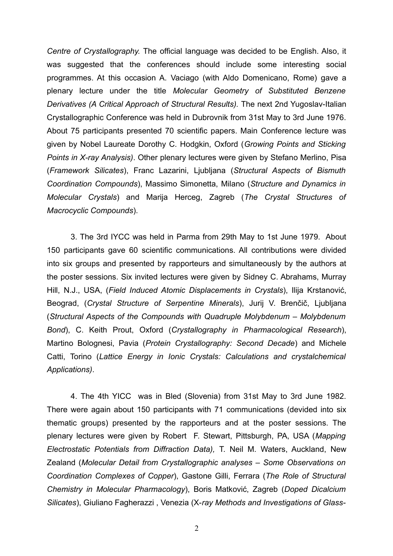*Centre of Crystallography.* The official language was decided to be English. Also, it was suggested that the conferences should include some interesting social programmes. At this occasion A. Vaciago (with Aldo Domenicano, Rome) gave a plenary lecture under the title *Molecular Geometry of Substituted Benzene Derivatives (A Critical Approach of Structural Results).* The next 2nd Yugoslav-Italian Crystallographic Conference was held in Dubrovnik from 31st May to 3rd June 1976. About 75 participants presented 70 scientific papers. Main Conference lecture was given by Nobel Laureate Dorothy C. Hodgkin, Oxford (*Growing Points and Sticking Points in X-ray Analysis)*. Other plenary lectures were given by Stefano Merlino, Pisa (*Framework Silicates*), Franc Lazarini, Ljubljana (*Structural Aspects of Bismuth Coordination Compounds*), Massimo Simonetta, Milano (*Structure and Dynamics in Molecular Crystals*) and Marija Herceg, Zagreb (*The Crystal Structures of Macrocyclic Compounds*).

3. The 3rd IYCC was held in Parma from 29th May to 1st June 1979. About 150 participants gave 60 scientific communications. All contributions were divided into six groups and presented by rapporteurs and simultaneously by the authors at the poster sessions. Six invited lectures were given by Sidney C. Abrahams, Murray Hill, N.J., USA, (*Field Induced Atomic Displacements in Crystals*), Ilija Krstanović, Beograd, (*Crystal Structure of Serpentine Minerals*), Jurij V. Brenčič, Ljubljana (*Structural Aspects of the Compounds with Quadruple Molybdenum – Molybdenum Bond*), C. Keith Prout, Oxford (*Crystallography in Pharmacological Research*), Martino Bolognesi, Pavia (*Protein Crystallography: Second Decade*) and Michele Catti, Torino (*Lattice Energy in Ionic Crystals: Calculations and crystalchemical Applications)*.

4. The 4th YICC was in Bled (Slovenia) from 31st May to 3rd June 1982. There were again about 150 participants with 71 communications (devided into six thematic groups) presented by the rapporteurs and at the poster sessions. The plenary lectures were given by Robert F. Stewart, Pittsburgh, PA, USA (*Mapping Electrostatic Potentials from Diffraction Data),* T. Neil M. Waters, Auckland, New Zealand (*Molecular Detail from Crystallographic analyses – Some Observations on Coordination Complexes of Copper*), Gastone Gilli, Ferrara (*The Role of Structural Chemistry in Molecular Pharmacology*), Boris Matković, Zagreb (*Doped Dicalcium Silicates*), Giuliano Fagherazzi , Venezia (X-*ray Methods and Investigations of Glass-*

2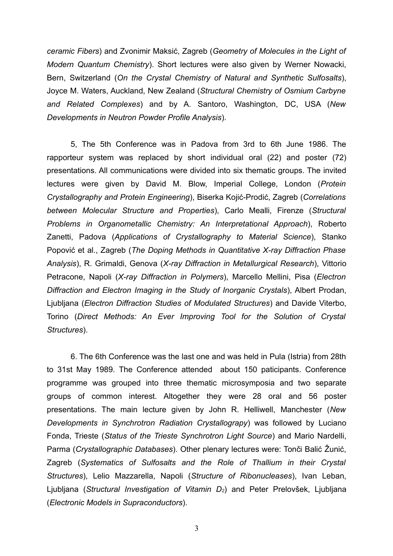*ceramic Fibers*) and Zvonimir Maksić, Zagreb (*Geometry of Molecules in the Light of Modern Quantum Chemistry*). Short lectures were also given by Werner Nowacki, Bern, Switzerland (*On the Crystal Chemistry of Natural and Synthetic Sulfosalts*), Joyce M. Waters, Auckland, New Zealand (*Structural Chemistry of Osmium Carbyne and Related Complexes*) and by A. Santoro, Washington, DC, USA (*New Developments in Neutron Powder Profile Analysis*).

5, The 5th Conference was in Padova from 3rd to 6th June 1986. The rapporteur system was replaced by short individual oral (22) and poster (72) presentations. All communications were divided into six thematic groups. The invited lectures were given by David M. Blow, Imperial College, London (*Protein Crystallography and Protein Engineering*), Biserka Kojić-Prodić, Zagreb (*Correlations between Molecular Structure and Properties*), Carlo Mealli, Firenze (*Structural Problems in Organometallic Chemistry: An Interpretational Approach*), Roberto Zanetti, Padova (*Applications of Crystallography to Material Science*), Stanko Popović et al., Zagreb (*The Doping Methods in Quantitative X-ray Diffraction Phase Analysis*), R. Grimaldi, Genova (*X-ray Diffraction in Metallurgical Research*), Vittorio Petracone, Napoli (*X-ray Diffraction in Polymers*), Marcello Mellini, Pisa (*Electron Diffraction and Electron Imaging in the Study of Inorganic Crystals*), Albert Prodan, Ljubljana (*Electron Diffraction Studies of Modulated Structures*) and Davide Viterbo, Torino (*Direct Methods: An Ever Improving Tool for the Solution of Crystal Structures*).

6. The 6th Conference was the last one and was held in Pula (Istria) from 28th to 31st May 1989. The Conference attended about 150 paticipants. Conference programme was grouped into three thematic microsymposia and two separate groups of common interest. Altogether they were 28 oral and 56 poster presentations. The main lecture given by John R. Helliwell, Manchester (*New Developments in Synchrotron Radiation Crystallograpy*) was followed by Luciano Fonda, Trieste (*Status of the Trieste Synchrotron Light Source*) and Mario Nardelli, Parma (*Crystallographic Databases*). Other plenary lectures were: Tonči Balić Žunić, Zagreb (*Systematics of Sulfosalts and the Role of Thallium in their Crystal Structures*), Lelio Mazzarella, Napoli (*Structure of Ribonucleases*), Ivan Leban, Ljubljana (*Structural Investigation of Vitamin D2*) and Peter Prelovšek, Ljubljana (*Electronic Models in Supraconductors*).

3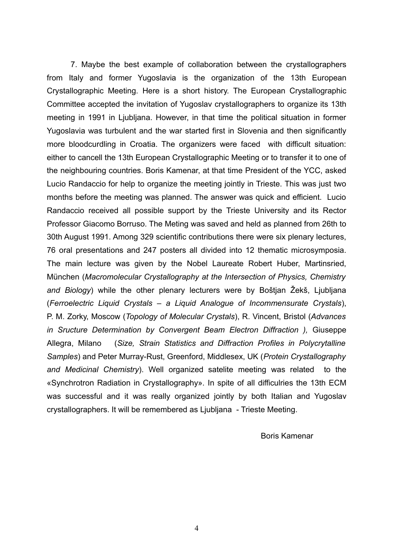7. Maybe the best example of collaboration between the crystallographers from Italy and former Yugoslavia is the organization of the 13th European Crystallographic Meeting. Here is a short history. The European Crystallographic Committee accepted the invitation of Yugoslav crystallographers to organize its 13th meeting in 1991 in Ljubljana. However, in that time the political situation in former Yugoslavia was turbulent and the war started first in Slovenia and then significantly more bloodcurdling in Croatia. The organizers were faced with difficult situation: either to cancell the 13th European Crystallographic Meeting or to transfer it to one of the neighbouring countries. Boris Kamenar, at that time President of the YCC, asked Lucio Randaccio for help to organize the meeting jointly in Trieste. This was just two months before the meeting was planned. The answer was quick and efficient. Lucio Randaccio received all possible support by the Trieste University and its Rector Professor Giacomo Borruso. The Meting was saved and held as planned from 26th to 30th August 1991. Among 329 scientific contributions there were six plenary lectures, 76 oral presentations and 247 posters all divided into 12 thematic microsymposia. The main lecture was given by the Nobel Laureate Robert Huber, Martinsried, München (*Macromolecular Crystallography at the Intersection of Physics, Chemistry and Biology*) while the other plenary lecturers were by Boštjan Žekš, Ljubljana (*Ferroelectric Liquid Crystals – a Liquid Analogue of Incommensurate Crystals*), P. M. Zorky, Moscow (*Topology of Molecular Crystals*), R. Vincent, Bristol (*Advances in Sructure Determination by Convergent Beam Electron Diffraction ),* Giuseppe Allegra, Milano (*Size, Strain Statistics and Diffraction Profiles in Polycrytalline Samples*) and Peter Murray-Rust, Greenford, Middlesex, UK (*Protein Crystallography and Medicinal Chemistry*). Well organized satelite meeting was related to the «Synchrotron Radiation in Crystallography». In spite of all difficulries the 13th ECM was successful and it was really organized jointly by both Italian and Yugoslav crystallographers. It will be remembered as Ljubljana - Trieste Meeting.

Boris Kamenar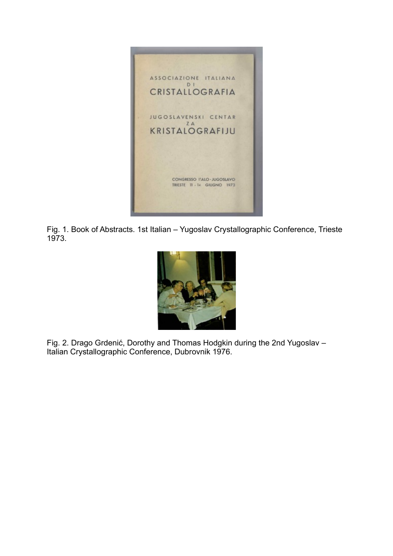

Fig. 1. Book of Abstracts. 1st Italian – Yugoslav Crystallographic Conference, Trieste 1973.



Fig. 2. Drago Grdenić, Dorothy and Thomas Hodgkin during the 2nd Yugoslav – Italian Crystallographic Conference, Dubrovnik 1976.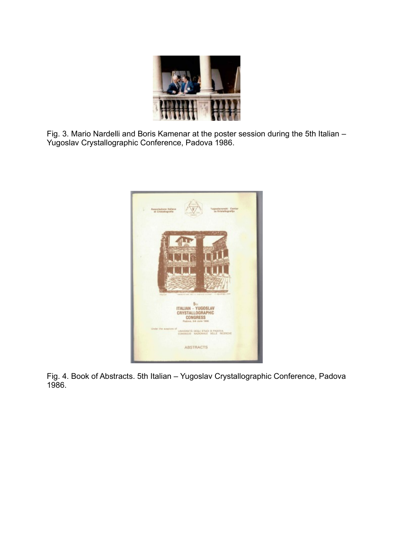

Fig. 3. Mario Nardelli and Boris Kamenar at the poster session during the 5th Italian – Yugoslav Crystallographic Conference, Padova 1986.



Fig. 4. Book of Abstracts. 5th Italian – Yugoslav Crystallographic Conference, Padova 1986.